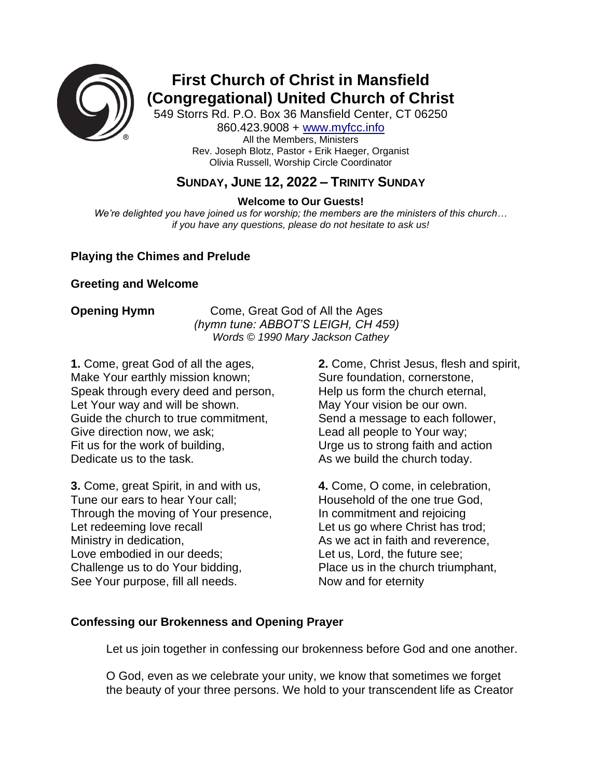

# **First Church of Christ in Mansfield (Congregational) United Church of Christ**

549 Storrs Rd. P.O. Box 36 Mansfield Center, CT 06250 860.423.9008 + [www.myfcc.info](http://www.myfcc.info/) All the Members, Ministers Rev. Joseph Blotz, Pastor + Erik Haeger, Organist Olivia Russell, Worship Circle Coordinator

# **SUNDAY, JUNE 12, 2022 – TRINITY SUNDAY**

**Welcome to Our Guests!**

*We're delighted you have joined us for worship; the members are the ministers of this church… if you have any questions, please do not hesitate to ask us!*

### **Playing the Chimes and Prelude**

### **Greeting and Welcome**

**Opening Hymn** Come, Great God of All the Ages *(hymn tune: ABBOT'S LEIGH, CH 459) Words © 1990 Mary Jackson Cathey*

**1.** Come, great God of all the ages, Make Your earthly mission known; Speak through every deed and person, Let Your way and will be shown. Guide the church to true commitment, Give direction now, we ask; Fit us for the work of building, Dedicate us to the task.

**3.** Come, great Spirit, in and with us, Tune our ears to hear Your call; Through the moving of Your presence, Let redeeming love recall Ministry in dedication, Love embodied in our deeds; Challenge us to do Your bidding, See Your purpose, fill all needs.

**2.** Come, Christ Jesus, flesh and spirit, Sure foundation, cornerstone, Help us form the church eternal, May Your vision be our own. Send a message to each follower, Lead all people to Your way; Urge us to strong faith and action As we build the church today.

**4.** Come, O come, in celebration, Household of the one true God, In commitment and rejoicing Let us go where Christ has trod: As we act in faith and reverence, Let us, Lord, the future see; Place us in the church triumphant, Now and for eternity

### **Confessing our Brokenness and Opening Prayer**

Let us join together in confessing our brokenness before God and one another.

O God, even as we celebrate your unity, we know that sometimes we forget the beauty of your three persons. We hold to your transcendent life as Creator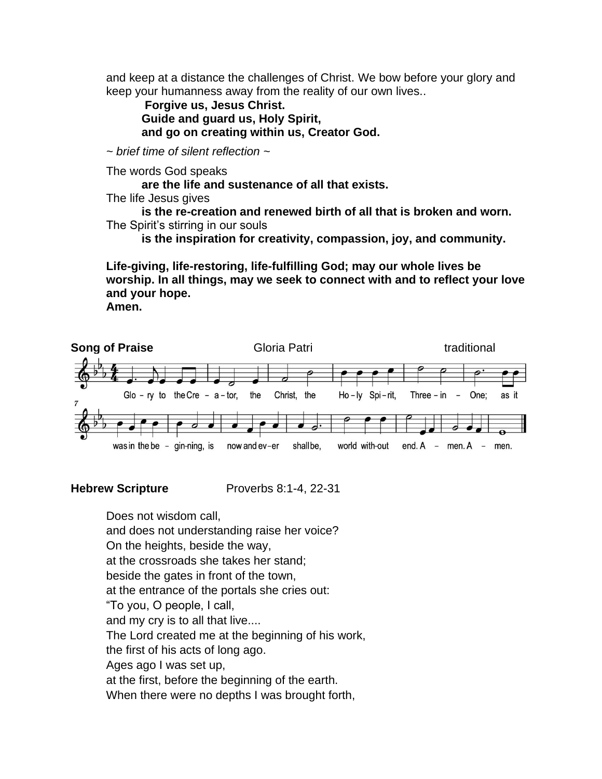and keep at a distance the challenges of Christ. We bow before your glory and keep your humanness away from the reality of our own lives..

**Forgive us, Jesus Christ. Guide and guard us, Holy Spirit, and go on creating within us, Creator God.**

*~ brief time of silent reflection ~*

The words God speaks

**are the life and sustenance of all that exists.**

The life Jesus gives

**is the re-creation and renewed birth of all that is broken and worn.** The Spirit's stirring in our souls

**is the inspiration for creativity, compassion, joy, and community.**

**Life-giving, life-restoring, life-fulfilling God; may our whole lives be worship. In all things, may we seek to connect with and to reflect your love and your hope.**

**Amen.**



**Hebrew Scripture** Proverbs 8:1-4, 22-31

Does not wisdom call, and does not understanding raise her voice? On the heights, beside the way, at the crossroads she takes her stand; beside the gates in front of the town, at the entrance of the portals she cries out: "To you, O people, I call, and my cry is to all that live.... The Lord created me at the beginning of his work, the first of his acts of long ago. Ages ago I was set up, at the first, before the beginning of the earth. When there were no depths I was brought forth,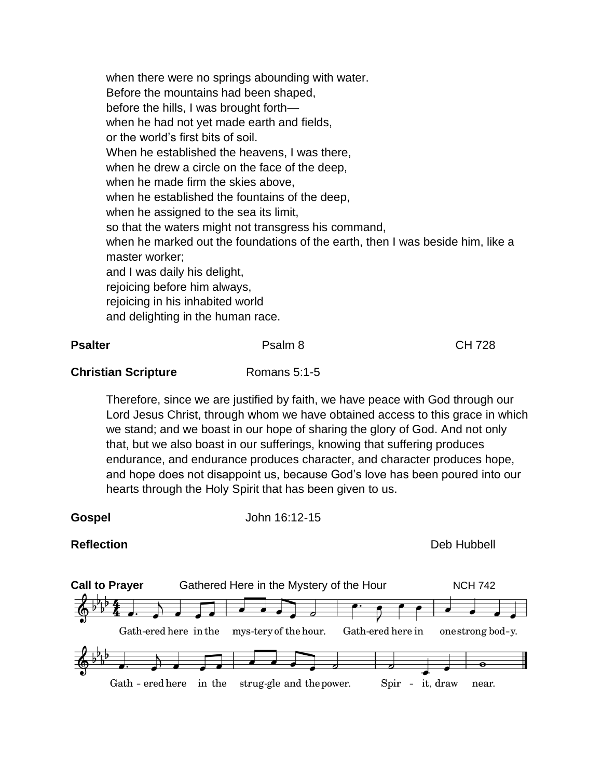when there were no springs abounding with water. Before the mountains had been shaped, before the hills, I was brought forth when he had not yet made earth and fields, or the world's first bits of soil. When he established the heavens, I was there, when he drew a circle on the face of the deep, when he made firm the skies above, when he established the fountains of the deep, when he assigned to the sea its limit, so that the waters might not transgress his command, when he marked out the foundations of the earth, then I was beside him, like a master worker; and I was daily his delight, rejoicing before him always, rejoicing in his inhabited world and delighting in the human race.

| <b>Psalter</b>             | Psalm 8                                                                       | <b>CH 728</b> |
|----------------------------|-------------------------------------------------------------------------------|---------------|
| <b>Christian Scripture</b> | Romans $5:1-5$                                                                |               |
|                            | Therefore, since we are justified by faith, we have peace with God through or |               |

since we are justified by faith, we have peace with God through our Lord Jesus Christ, through whom we have obtained access to this grace in which we stand; and we boast in our hope of sharing the glory of God. And not only that, but we also boast in our sufferings, knowing that suffering produces endurance, and endurance produces character, and character produces hope, and hope does not disappoint us, because God's love has been poured into our hearts through the Holy Spirit that has been given to us.

**Gospel** John 16:12-15

**Reflection** Deb Hubbell

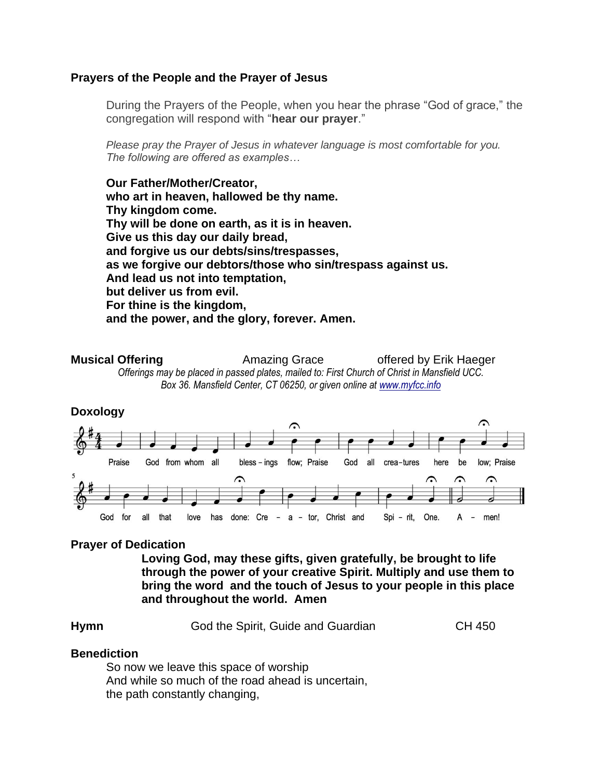### **Prayers of the People and the Prayer of Jesus**

During the Prayers of the People, when you hear the phrase "God of grace," the congregation will respond with "**hear our prayer**."

*Please pray the Prayer of Jesus in whatever language is most comfortable for you. The following are offered as examples…*

**Our Father/Mother/Creator, who art in heaven, hallowed be thy name. Thy kingdom come. Thy will be done on earth, as it is in heaven. Give us this day our daily bread, and forgive us our debts/sins/trespasses, as we forgive our debtors/those who sin/trespass against us. And lead us not into temptation, but deliver us from evil. For thine is the kingdom, and the power, and the glory, forever. Amen.**

**Musical Offering Amazing Grace** offered by Erik Haeger *Offerings may be placed in passed plates, mailed to: First Church of Christ in Mansfield UCC. Box 36. Mansfield Center, CT 06250, or given online at [www.myfcc.info](http://www.myfcc.info/)*



### **Prayer of Dedication**

**Loving God, may these gifts, given gratefully, be brought to life through the power of your creative Spirit. Multiply and use them to bring the word and the touch of Jesus to your people in this place and throughout the world. Amen**

| Hymn<br>God the Spirit, Guide and Guardian | CH 450 |
|--------------------------------------------|--------|
|--------------------------------------------|--------|

### **Benediction**

So now we leave this space of worship And while so much of the road ahead is uncertain, the path constantly changing,